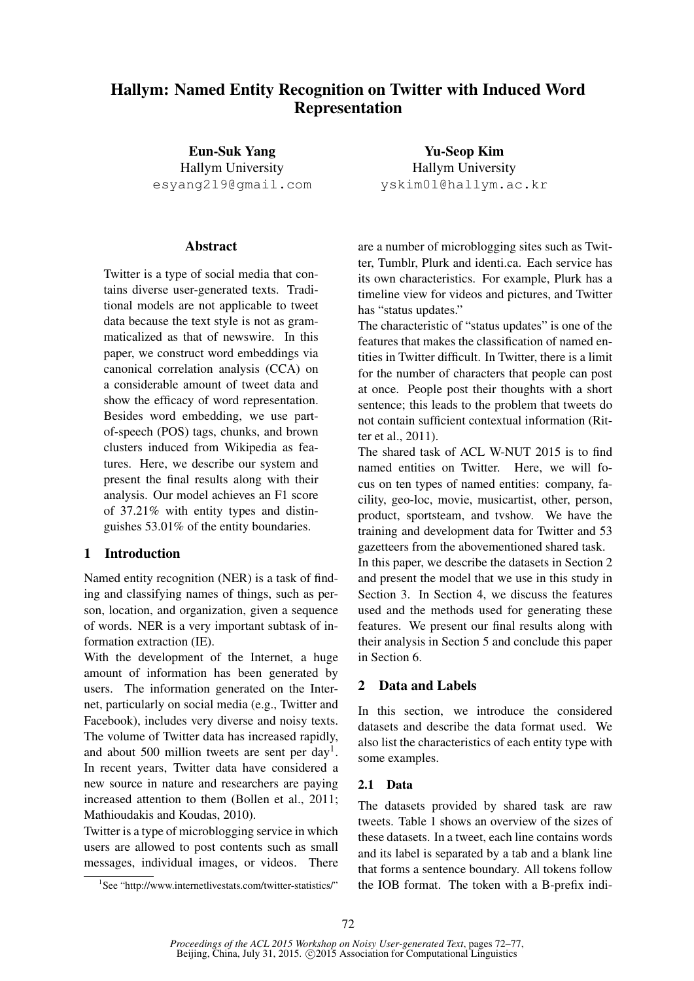# Hallym: Named Entity Recognition on Twitter with Induced Word Representation

Eun-Suk Yang Hallym University esyang219@gmail.com

#### **Abstract**

Twitter is a type of social media that contains diverse user-generated texts. Traditional models are not applicable to tweet data because the text style is not as grammaticalized as that of newswire. In this paper, we construct word embeddings via canonical correlation analysis (CCA) on a considerable amount of tweet data and show the efficacy of word representation. Besides word embedding, we use partof-speech (POS) tags, chunks, and brown clusters induced from Wikipedia as features. Here, we describe our system and present the final results along with their analysis. Our model achieves an F1 score of 37.21% with entity types and distinguishes 53.01% of the entity boundaries.

## 1 Introduction

Named entity recognition (NER) is a task of finding and classifying names of things, such as person, location, and organization, given a sequence of words. NER is a very important subtask of information extraction (IE).

With the development of the Internet, a huge amount of information has been generated by users. The information generated on the Internet, particularly on social media (e.g., Twitter and Facebook), includes very diverse and noisy texts. The volume of Twitter data has increased rapidly, and about 500 million tweets are sent per day<sup>1</sup>. In recent years, Twitter data have considered a new source in nature and researchers are paying increased attention to them (Bollen et al., 2011; Mathioudakis and Koudas, 2010).

Twitter is a type of microblogging service in which users are allowed to post contents such as small messages, individual images, or videos. There

Yu-Seop Kim Hallym University yskim01@hallym.ac.kr

are a number of microblogging sites such as Twitter, Tumblr, Plurk and identi.ca. Each service has its own characteristics. For example, Plurk has a timeline view for videos and pictures, and Twitter has "status updates."

The characteristic of "status updates" is one of the features that makes the classification of named entities in Twitter difficult. In Twitter, there is a limit for the number of characters that people can post at once. People post their thoughts with a short sentence; this leads to the problem that tweets do not contain sufficient contextual information (Ritter et al., 2011).

The shared task of ACL W-NUT 2015 is to find named entities on Twitter. Here, we will focus on ten types of named entities: company, facility, geo-loc, movie, musicartist, other, person, product, sportsteam, and tvshow. We have the training and development data for Twitter and 53 gazetteers from the abovementioned shared task.

In this paper, we describe the datasets in Section 2 and present the model that we use in this study in Section 3. In Section 4, we discuss the features used and the methods used for generating these features. We present our final results along with their analysis in Section 5 and conclude this paper in Section 6.

## 2 Data and Labels

In this section, we introduce the considered datasets and describe the data format used. We also list the characteristics of each entity type with some examples.

#### 2.1 Data

The datasets provided by shared task are raw tweets. Table 1 shows an overview of the sizes of these datasets. In a tweet, each line contains words and its label is separated by a tab and a blank line that forms a sentence boundary. All tokens follow the IOB format. The token with a B-prefix indi-

<sup>1</sup> See "http://www.internetlivestats.com/twitter-statistics/"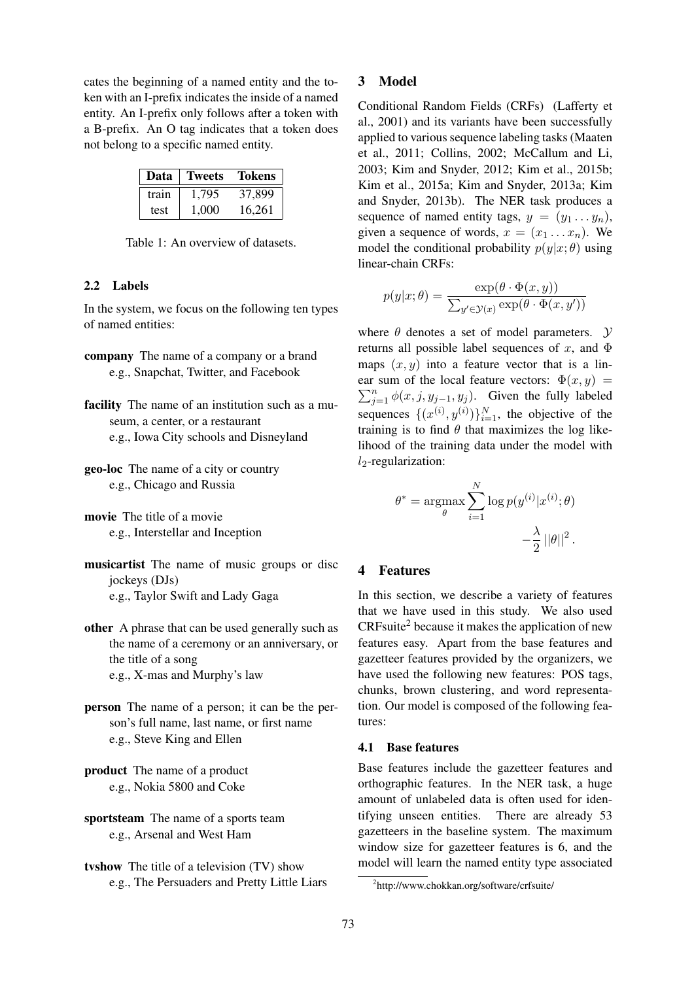cates the beginning of a named entity and the token with an I-prefix indicates the inside of a named entity. An I-prefix only follows after a token with a B-prefix. An O tag indicates that a token does not belong to a specific named entity.

| Data  | <b>Tweets</b> | <b>Tokens</b> |
|-------|---------------|---------------|
| train | 1.795         | 37,899        |
| test  | 1.000         | 16,261        |

Table 1: An overview of datasets.

## 2.2 Labels

In the system, we focus on the following ten types of named entities:

- company The name of a company or a brand e.g., Snapchat, Twitter, and Facebook
- facility The name of an institution such as a museum, a center, or a restaurant e.g., Iowa City schools and Disneyland
- geo-loc The name of a city or country e.g., Chicago and Russia
- movie The title of a movie e.g., Interstellar and Inception
- musicartist The name of music groups or disc jockeys (DJs) e.g., Taylor Swift and Lady Gaga
- other A phrase that can be used generally such as the name of a ceremony or an anniversary, or the title of a song e.g., X-mas and Murphy's law
- person The name of a person; it can be the person's full name, last name, or first name e.g., Steve King and Ellen
- product The name of a product e.g., Nokia 5800 and Coke

sportsteam The name of a sports team e.g., Arsenal and West Ham

tvshow The title of a television (TV) show e.g., The Persuaders and Pretty Little Liars

#### 3 Model

Conditional Random Fields (CRFs) (Lafferty et al., 2001) and its variants have been successfully applied to various sequence labeling tasks (Maaten et al., 2011; Collins, 2002; McCallum and Li, 2003; Kim and Snyder, 2012; Kim et al., 2015b; Kim et al., 2015a; Kim and Snyder, 2013a; Kim and Snyder, 2013b). The NER task produces a sequence of named entity tags,  $y = (y_1 \dots y_n)$ , given a sequence of words,  $x = (x_1 \dots x_n)$ . We model the conditional probability  $p(y|x; \theta)$  using linear-chain CRFs:

$$
p(y|x; \theta) = \frac{\exp(\theta \cdot \Phi(x, y))}{\sum_{y' \in \mathcal{Y}(x)} \exp(\theta \cdot \Phi(x, y'))}
$$

where  $\theta$  denotes a set of model parameters.  $\mathcal{Y}$ returns all possible label sequences of x, and  $\Phi$ maps  $(x, y)$  into a feature vector that is a linear sum of the local feature vectors:  $\Phi(x, y) =$  $\sum_{j=1}^{n} \phi(x, j, y_{j-1}, y_j)$ . Given the fully labeled sequences  $\{(x^{(i)}, y^{(i)})\}_{i=1}^N$ , the objective of the training is to find  $\theta$  that maximizes the log likelihood of the training data under the model with  $l_2$ -regularization:

$$
\theta^* = \underset{\theta}{\operatorname{argmax}} \sum_{i=1}^N \log p(y^{(i)} | x^{(i)}; \theta) - \frac{\lambda}{2} ||\theta||^2.
$$

## 4 Features

In this section, we describe a variety of features that we have used in this study. We also used CRFsuite<sup>2</sup> because it makes the application of new features easy. Apart from the base features and gazetteer features provided by the organizers, we have used the following new features: POS tags, chunks, brown clustering, and word representation. Our model is composed of the following features:

#### 4.1 Base features

Base features include the gazetteer features and orthographic features. In the NER task, a huge amount of unlabeled data is often used for identifying unseen entities. There are already 53 gazetteers in the baseline system. The maximum window size for gazetteer features is 6, and the model will learn the named entity type associated

<sup>2</sup> http://www.chokkan.org/software/crfsuite/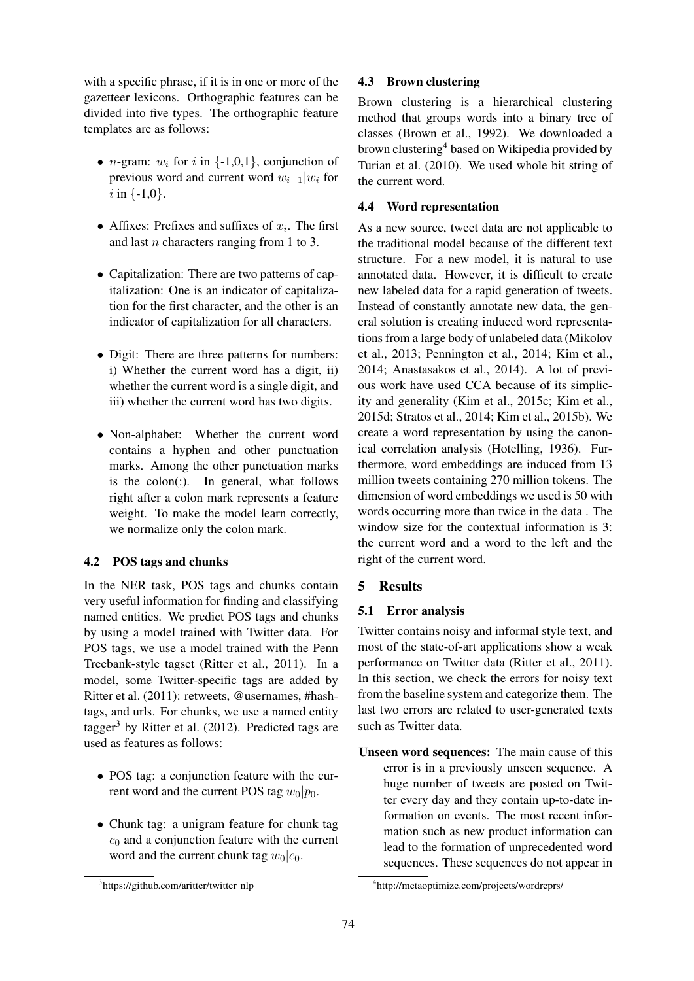with a specific phrase, if it is in one or more of the gazetteer lexicons. Orthographic features can be divided into five types. The orthographic feature templates are as follows:

- *n*-gram:  $w_i$  for i in  $\{-1,0,1\}$ , conjunction of previous word and current word  $w_{i-1}|w_i$  for  $i$  in  $\{-1,0\}$ .
- Affixes: Prefixes and suffixes of  $x_i$ . The first and last n characters ranging from 1 to 3.
- Capitalization: There are two patterns of capitalization: One is an indicator of capitalization for the first character, and the other is an indicator of capitalization for all characters.
- Digit: There are three patterns for numbers: i) Whether the current word has a digit, ii) whether the current word is a single digit, and iii) whether the current word has two digits.
- Non-alphabet: Whether the current word contains a hyphen and other punctuation marks. Among the other punctuation marks is the  $colon$ ). In general, what follows right after a colon mark represents a feature weight. To make the model learn correctly, we normalize only the colon mark.

## 4.2 POS tags and chunks

In the NER task, POS tags and chunks contain very useful information for finding and classifying named entities. We predict POS tags and chunks by using a model trained with Twitter data. For POS tags, we use a model trained with the Penn Treebank-style tagset (Ritter et al., 2011). In a model, some Twitter-specific tags are added by Ritter et al. (2011): retweets, @usernames, #hashtags, and urls. For chunks, we use a named entity tagger<sup>3</sup> by Ritter et al.  $(2012)$ . Predicted tags are used as features as follows:

- POS tag: a conjunction feature with the current word and the current POS tag  $w_0|p_0$ .
- Chunk tag: a unigram feature for chunk tag  $c_0$  and a conjunction feature with the current word and the current chunk tag  $w_0|c_0$ .

#### 4.3 Brown clustering

Brown clustering is a hierarchical clustering method that groups words into a binary tree of classes (Brown et al., 1992). We downloaded a brown clustering<sup>4</sup> based on Wikipedia provided by Turian et al. (2010). We used whole bit string of the current word.

### 4.4 Word representation

As a new source, tweet data are not applicable to the traditional model because of the different text structure. For a new model, it is natural to use annotated data. However, it is difficult to create new labeled data for a rapid generation of tweets. Instead of constantly annotate new data, the general solution is creating induced word representations from a large body of unlabeled data (Mikolov et al., 2013; Pennington et al., 2014; Kim et al., 2014; Anastasakos et al., 2014). A lot of previous work have used CCA because of its simplicity and generality (Kim et al., 2015c; Kim et al., 2015d; Stratos et al., 2014; Kim et al., 2015b). We create a word representation by using the canonical correlation analysis (Hotelling, 1936). Furthermore, word embeddings are induced from 13 million tweets containing 270 million tokens. The dimension of word embeddings we used is 50 with words occurring more than twice in the data . The window size for the contextual information is 3: the current word and a word to the left and the right of the current word.

## 5 Results

## 5.1 Error analysis

Twitter contains noisy and informal style text, and most of the state-of-art applications show a weak performance on Twitter data (Ritter et al., 2011). In this section, we check the errors for noisy text from the baseline system and categorize them. The last two errors are related to user-generated texts such as Twitter data.

Unseen word sequences: The main cause of this error is in a previously unseen sequence. A huge number of tweets are posted on Twitter every day and they contain up-to-date information on events. The most recent information such as new product information can lead to the formation of unprecedented word sequences. These sequences do not appear in

<sup>&</sup>lt;sup>3</sup>https://github.com/aritter/twitter\_nlp

<sup>4</sup> http://metaoptimize.com/projects/wordreprs/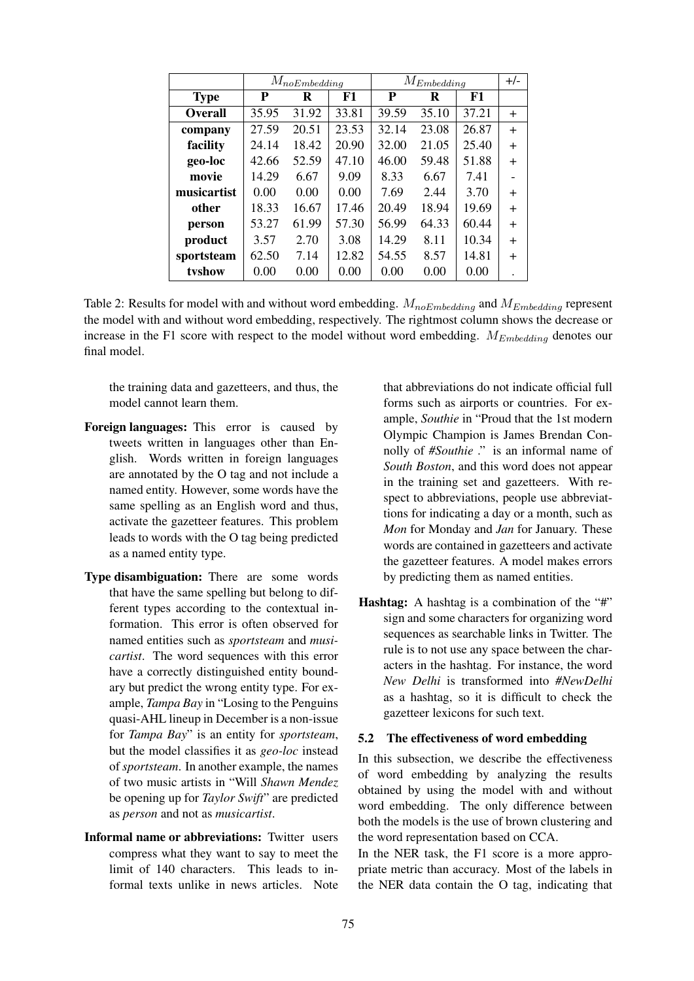|                | $M_{noEmbedding}$ |       |       | $M_{Embedding}$ |       |       | $+/-$     |
|----------------|-------------------|-------|-------|-----------------|-------|-------|-----------|
| <b>Type</b>    | P                 | R     | F1    | P               | R     | F1    |           |
| <b>Overall</b> | 35.95             | 31.92 | 33.81 | 39.59           | 35.10 | 37.21 | $\ddot{}$ |
| company        | 27.59             | 20.51 | 23.53 | 32.14           | 23.08 | 26.87 | $+$       |
| facility       | 24.14             | 18.42 | 20.90 | 32.00           | 21.05 | 25.40 | $+$       |
| geo-loc        | 42.66             | 52.59 | 47.10 | 46.00           | 59.48 | 51.88 | $^{+}$    |
| movie          | 14.29             | 6.67  | 9.09  | 8.33            | 6.67  | 7.41  |           |
| musicartist    | 0.00              | 0.00  | 0.00  | 7.69            | 2.44  | 3.70  | $^{+}$    |
| other          | 18.33             | 16.67 | 17.46 | 20.49           | 18.94 | 19.69 | $+$       |
| person         | 53.27             | 61.99 | 57.30 | 56.99           | 64.33 | 60.44 | $+$       |
| product        | 3.57              | 2.70  | 3.08  | 14.29           | 8.11  | 10.34 | $^{+}$    |
| sportsteam     | 62.50             | 7.14  | 12.82 | 54.55           | 8.57  | 14.81 | $^{+}$    |
| tyshow         | 0.00              | 0.00  | 0.00  | 0.00            | 0.00  | 0.00  |           |

Table 2: Results for model with and without word embedding.  $M_{noEmbedding}$  and  $M_{Embedding}$  represent the model with and without word embedding, respectively. The rightmost column shows the decrease or increase in the F1 score with respect to the model without word embedding.  $M_{Embedding}$  denotes our final model.

the training data and gazetteers, and thus, the model cannot learn them.

- Foreign languages: This error is caused by tweets written in languages other than English. Words written in foreign languages are annotated by the O tag and not include a named entity. However, some words have the same spelling as an English word and thus, activate the gazetteer features. This problem leads to words with the O tag being predicted as a named entity type.
- Type disambiguation: There are some words that have the same spelling but belong to different types according to the contextual information. This error is often observed for named entities such as *sportsteam* and *musicartist*. The word sequences with this error have a correctly distinguished entity boundary but predict the wrong entity type. For example, *Tampa Bay* in "Losing to the Penguins quasi-AHL lineup in December is a non-issue for *Tampa Bay*" is an entity for *sportsteam*, but the model classifies it as *geo-loc* instead of *sportsteam*. In another example, the names of two music artists in "Will *Shawn Mendez* be opening up for *Taylor Swift*" are predicted as *person* and not as *musicartist*.
- Informal name or abbreviations: Twitter users compress what they want to say to meet the limit of 140 characters. This leads to informal texts unlike in news articles. Note

that abbreviations do not indicate official full forms such as airports or countries. For example, *Southie* in "Proud that the 1st modern Olympic Champion is James Brendan Connolly of *#Southie* ." is an informal name of *South Boston*, and this word does not appear in the training set and gazetteers. With respect to abbreviations, people use abbreviattions for indicating a day or a month, such as *Mon* for Monday and *Jan* for January. These words are contained in gazetteers and activate the gazetteer features. A model makes errors by predicting them as named entities.

Hashtag: A hashtag is a combination of the "#" sign and some characters for organizing word sequences as searchable links in Twitter. The rule is to not use any space between the characters in the hashtag. For instance, the word *New Delhi* is transformed into *#NewDelhi* as a hashtag, so it is difficult to check the gazetteer lexicons for such text.

#### 5.2 The effectiveness of word embedding

In this subsection, we describe the effectiveness of word embedding by analyzing the results obtained by using the model with and without word embedding. The only difference between both the models is the use of brown clustering and the word representation based on CCA.

In the NER task, the F1 score is a more appropriate metric than accuracy. Most of the labels in the NER data contain the O tag, indicating that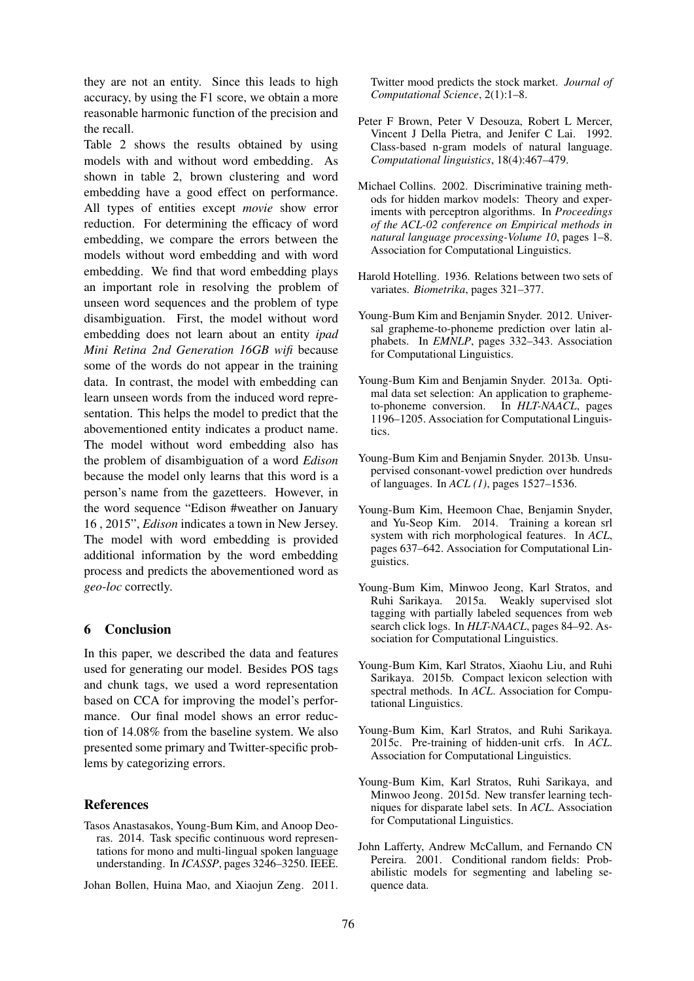they are not an entity. Since this leads to high accuracy, by using the F1 score, we obtain a more reasonable harmonic function of the precision and the recall.

Table 2 shows the results obtained by using models with and without word embedding. As shown in table 2, brown clustering and word embedding have a good effect on performance. All types of entities except *movie* show error reduction. For determining the efficacy of word embedding, we compare the errors between the models without word embedding and with word embedding. We find that word embedding plays an important role in resolving the problem of unseen word sequences and the problem of type disambiguation. First, the model without word embedding does not learn about an entity *ipad Mini Retina 2nd Generation 16GB wifi* because some of the words do not appear in the training data. In contrast, the model with embedding can learn unseen words from the induced word representation. This helps the model to predict that the abovementioned entity indicates a product name. The model without word embedding also has the problem of disambiguation of a word *Edison* because the model only learns that this word is a person's name from the gazetteers. However, in the word sequence "Edison #weather on January 16 , 2015", *Edison* indicates a town in New Jersey. The model with word embedding is provided additional information by the word embedding process and predicts the abovementioned word as *geo-loc* correctly.

## 6 Conclusion

In this paper, we described the data and features used for generating our model. Besides POS tags and chunk tags, we used a word representation based on CCA for improving the model's performance. Our final model shows an error reduction of 14.08% from the baseline system. We also presented some primary and Twitter-specific problems by categorizing errors.

#### References

- Tasos Anastasakos, Young-Bum Kim, and Anoop Deoras. 2014. Task specific continuous word representations for mono and multi-lingual spoken language understanding. In *ICASSP*, pages 3246–3250. IEEE.
- Johan Bollen, Huina Mao, and Xiaojun Zeng. 2011.

Twitter mood predicts the stock market. *Journal of Computational Science*, 2(1):1–8.

- Peter F Brown, Peter V Desouza, Robert L Mercer, Vincent J Della Pietra, and Jenifer C Lai. 1992. Class-based n-gram models of natural language. *Computational linguistics*, 18(4):467–479.
- Michael Collins. 2002. Discriminative training methods for hidden markov models: Theory and experiments with perceptron algorithms. In *Proceedings of the ACL-02 conference on Empirical methods in natural language processing-Volume 10*, pages 1–8. Association for Computational Linguistics.
- Harold Hotelling. 1936. Relations between two sets of variates. *Biometrika*, pages 321–377.
- Young-Bum Kim and Benjamin Snyder. 2012. Universal grapheme-to-phoneme prediction over latin alphabets. In *EMNLP*, pages 332–343. Association for Computational Linguistics.
- Young-Bum Kim and Benjamin Snyder. 2013a. Optimal data set selection: An application to graphemeto-phoneme conversion. In *HLT-NAACL*, pages 1196–1205. Association for Computational Linguistics.
- Young-Bum Kim and Benjamin Snyder. 2013b. Unsupervised consonant-vowel prediction over hundreds of languages. In *ACL (1)*, pages 1527–1536.
- Young-Bum Kim, Heemoon Chae, Benjamin Snyder, and Yu-Seop Kim. 2014. Training a korean srl system with rich morphological features. In *ACL*, pages 637–642. Association for Computational Linguistics.
- Young-Bum Kim, Minwoo Jeong, Karl Stratos, and Ruhi Sarikaya. 2015a. Weakly supervised slot tagging with partially labeled sequences from web search click logs. In *HLT-NAACL*, pages 84–92. Association for Computational Linguistics.
- Young-Bum Kim, Karl Stratos, Xiaohu Liu, and Ruhi Sarikaya. 2015b. Compact lexicon selection with spectral methods. In *ACL*. Association for Computational Linguistics.
- Young-Bum Kim, Karl Stratos, and Ruhi Sarikaya. 2015c. Pre-training of hidden-unit crfs. In *ACL*. Association for Computational Linguistics.
- Young-Bum Kim, Karl Stratos, Ruhi Sarikaya, and Minwoo Jeong. 2015d. New transfer learning techniques for disparate label sets. In *ACL*. Association for Computational Linguistics.
- John Lafferty, Andrew McCallum, and Fernando CN Pereira. 2001. Conditional random fields: Probabilistic models for segmenting and labeling sequence data.